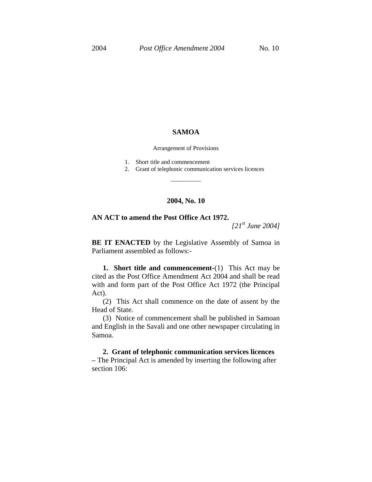## **SAMOA**

Arrangement of Provisions

- 1. Short title and commencement
- 2. Grant of telephonic communication services licences

## **2004, No. 10**

\_\_\_\_\_\_\_\_\_\_

## **AN ACT to amend the Post Office Act 1972.**

*[21st June 2004]*

**BE IT ENACTED** by the Legislative Assembly of Samoa in Parliament assembled as follows:-

**1. Short title and commencement-**(1) This Act may be cited as the Post Office Amendment Act 2004 and shall be read with and form part of the Post Office Act 1972 (the Principal Act).

(2) This Act shall commence on the date of assent by the Head of State.

(3) Notice of commencement shall be published in Samoan and English in the Savali and one other newspaper circulating in Samoa.

**2. Grant of telephonic communication services licences –** The Principal Act is amended by inserting the following after section 106: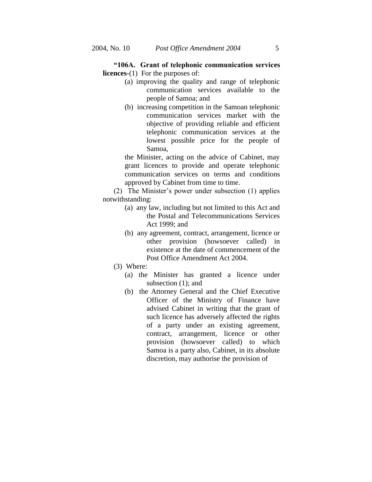**"106A. Grant of telephonic communication services licences-**(1) For the purposes of:

- (a) improving the quality and range of telephonic communication services available to the people of Samoa; and
- (b) increasing competition in the Samoan telephonic communication services market with the objective of providing reliable and efficient telephonic communication services at the lowest possible price for the people of Samoa,

the Minister, acting on the advice of Cabinet, may grant licences to provide and operate telephonic communication services on terms and conditions approved by Cabinet from time to time.

(2) The Minister's power under subsection (1) applies notwithstanding:

- (a) any law, including but not limited to this Act and the Postal and Telecommunications Services Act 1999; and
- (b) any agreement, contract, arrangement, licence or other provision (howsoever called) in existence at the date of commencement of the Post Office Amendment Act 2004.
- (3) Where:
	- (a) the Minister has granted a licence under subsection (1); and
	- (b) the Attorney General and the Chief Executive Officer of the Ministry of Finance have advised Cabinet in writing that the grant of such licence has adversely affected the rights of a party under an existing agreement, contract, arrangement, licence or other provision (howsoever called) to which Samoa is a party also, Cabinet, in its absolute discretion, may authorise the provision of